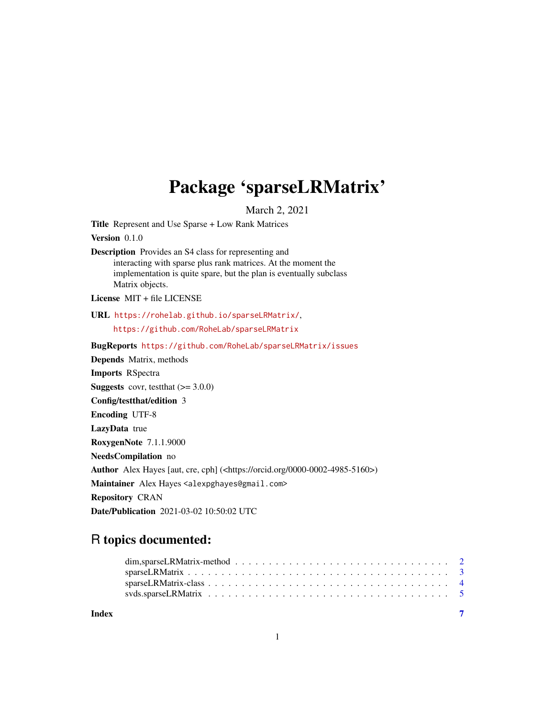# Package 'sparseLRMatrix'

March 2, 2021

<span id="page-0-0"></span>Title Represent and Use Sparse + Low Rank Matrices

Version 0.1.0

Description Provides an S4 class for representing and interacting with sparse plus rank matrices. At the moment the implementation is quite spare, but the plan is eventually subclass Matrix objects.

License MIT + file LICENSE

URL <https://rohelab.github.io/sparseLRMatrix/>, <https://github.com/RoheLab/sparseLRMatrix>

BugReports <https://github.com/RoheLab/sparseLRMatrix/issues> Depends Matrix, methods Imports RSpectra **Suggests** covr, test that  $(>= 3.0.0)$ Config/testthat/edition 3 Encoding UTF-8 LazyData true RoxygenNote 7.1.1.9000 NeedsCompilation no Author Alex Hayes [aut, cre, cph] (<https://orcid.org/0000-0002-4985-5160>) Maintainer Alex Hayes <alexpghayes@gmail.com> Repository CRAN Date/Publication 2021-03-02 10:50:02 UTC

## R topics documented:

| Index |  |
|-------|--|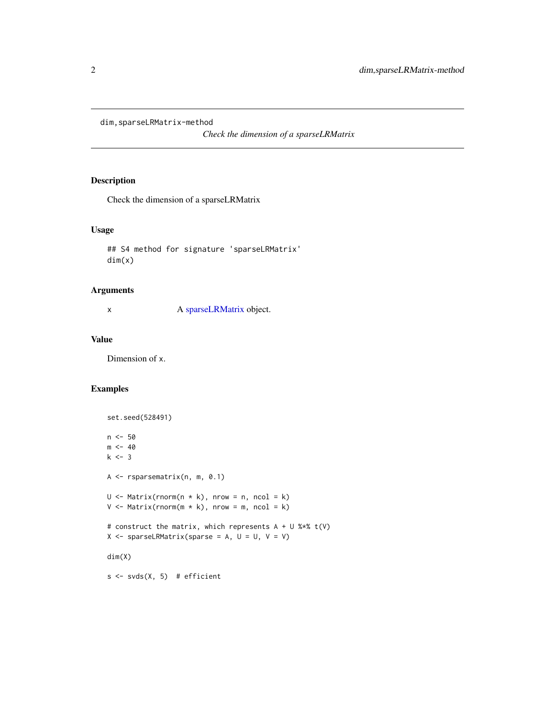<span id="page-1-0"></span>dim,sparseLRMatrix-method

*Check the dimension of a sparseLRMatrix*

#### Description

Check the dimension of a sparseLRMatrix

#### Usage

```
## S4 method for signature 'sparseLRMatrix'
dim(x)
```
#### Arguments

x A [sparseLRMatrix](#page-3-1) object.

#### Value

Dimension of x.

#### Examples

```
set.seed(528491)
n <- 50
m < -40k \le -3A <- rsparsematrix(n, m, 0.1)
U \leq Matrix(rnorm(n * k), nrow = n, ncol = k)V \leq Matrix(rnorm(m * k), nrow = m, ncol = k)# construct the matrix, which represents A + U %*% t(V)
X \leq - sparseLRMatrix(sparse = A, U = U, V = V)
dim(X)
s \leftarrow s \vee s(X, 5) # efficient
```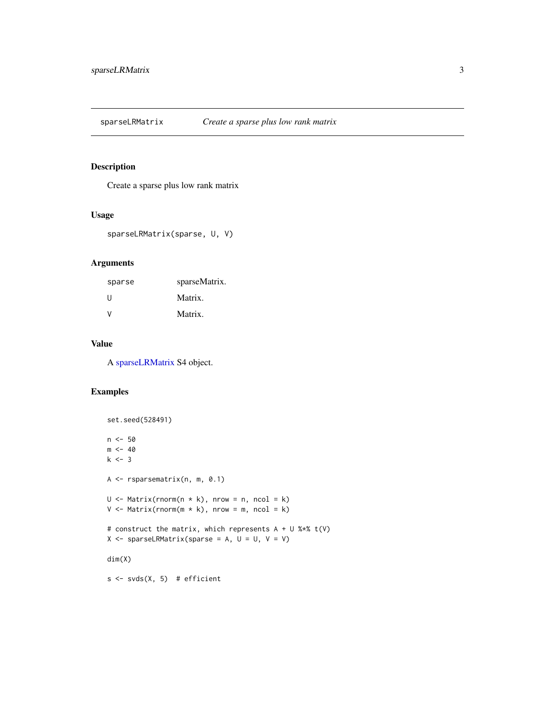<span id="page-2-0"></span>sparseLRMatrix *Create a sparse plus low rank matrix*

### Description

Create a sparse plus low rank matrix

#### Usage

sparseLRMatrix(sparse, U, V)

#### Arguments

| sparse       | sparseMatrix. |
|--------------|---------------|
| -11          | Matrix.       |
| $\mathsf{V}$ | Matrix.       |

#### Value

A [sparseLRMatrix](#page-3-1) S4 object.

#### Examples

```
set.seed(528491)
n < -50m < -40k \le -3A <- rsparsematrix(n, m, 0.1)
U \le - Matrix(rnorm(n * k), nrow = n, ncol = k)
V \leq Matrix Matrix(rnorm(m * k), nrow = m, ncol = k)
# construct the matrix, which represents A + U %*% t(V)
X \leq - sparseLRMatrix(sparse = A, U = U, V = V)
dim(X)
s \leftarrow s \vee s(X, 5) # efficient
```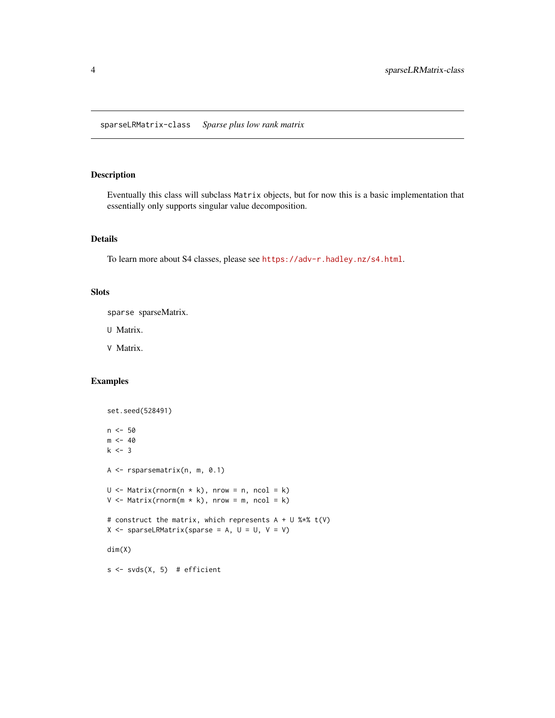<span id="page-3-1"></span><span id="page-3-0"></span>sparseLRMatrix-class *Sparse plus low rank matrix*

#### Description

Eventually this class will subclass Matrix objects, but for now this is a basic implementation that essentially only supports singular value decomposition.

#### Details

To learn more about S4 classes, please see <https://adv-r.hadley.nz/s4.html>.

#### **Slots**

sparse sparseMatrix.

U Matrix.

V Matrix.

#### Examples

```
set.seed(528491)
n <- 50
m < -40k \le -3A <- rsparsematrix(n, m, 0.1)
U \le - Matrix(rnorm(n * k), nrow = n, ncol = k)
V \le - Matrix(rnorm(m * k), nrow = m, ncol = k)
# construct the matrix, which represents A + U %*% t(V)
X \leq - sparseLRMatrix(sparse = A, U = U, V = V)
dim(X)
s \leftarrow s \vee s(X, 5) # efficient
```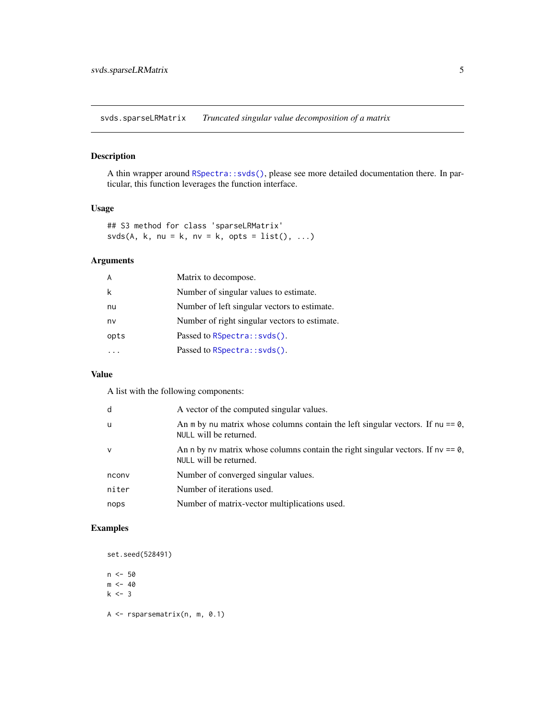<span id="page-4-0"></span>svds.sparseLRMatrix *Truncated singular value decomposition of a matrix*

#### Description

A thin wrapper around [RSpectra::svds\(\)](#page-0-0), please see more detailed documentation there. In particular, this function leverages the function interface.

#### Usage

## S3 method for class 'sparseLRMatrix'  $s\nu ds(A, k, nu = k, nv = k, opts = list(), ...)$ 

#### Arguments

| A    | Matrix to decompose.                          |
|------|-----------------------------------------------|
| k    | Number of singular values to estimate.        |
| nu   | Number of left singular vectors to estimate.  |
| nv   | Number of right singular vectors to estimate. |
| opts | Passed to RSpectra::svds().                   |
|      | Passed to RSpectra::svds().                   |

#### Value

A list with the following components:

| d            | A vector of the computed singular values.                                                                    |
|--------------|--------------------------------------------------------------------------------------------------------------|
| u            | An m by nu matrix whose columns contain the left singular vectors. If $nu == 0$ ,<br>NULL will be returned.  |
| $\mathsf{V}$ | An n by nv matrix whose columns contain the right singular vectors. If nv $== 0$ ,<br>NULL will be returned. |
| nconv        | Number of converged singular values.                                                                         |
| niter        | Number of iterations used.                                                                                   |
| nops         | Number of matrix-vector multiplications used.                                                                |

#### Examples

set.seed(528491)

n <- 50  $m < -40$  $k \le -3$ 

A <- rsparsematrix(n, m, 0.1)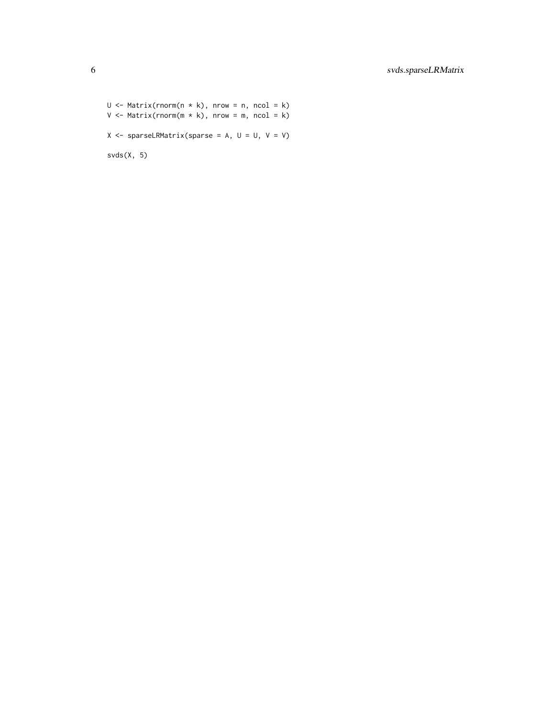$U \le$  Matrix(rnorm(n \* k), nrow = n, ncol = k)  $V \leq Matrix$  Matrix(rnorm(m  $*$  k), nrow = m, ncol = k)  $X \leq -$  sparseLRMatrix(sparse = A, U = U, V = V) svds(X, 5)